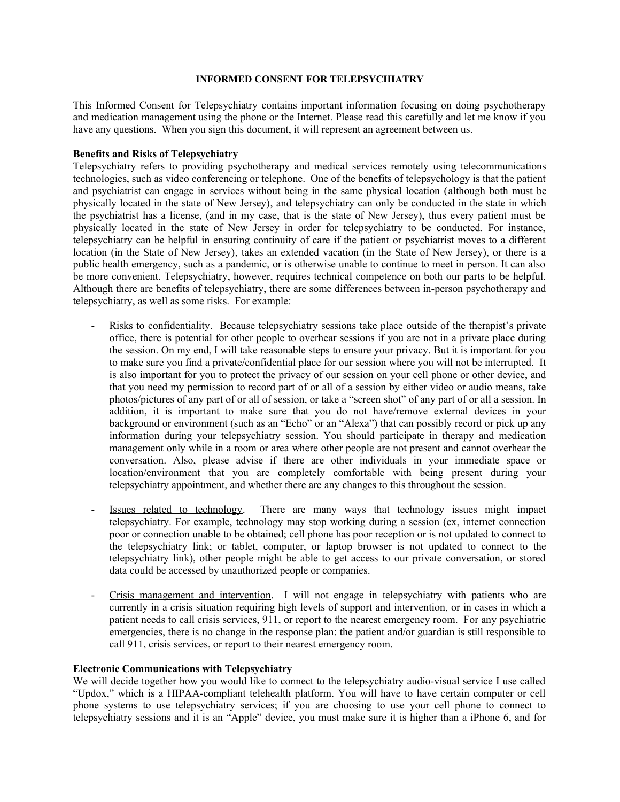#### **INFORMED CONSENT FOR TELEPSYCHIATRY**

This Informed Consent for Telepsychiatry contains important information focusing on doing psychotherapy and medication management using the phone or the Internet. Please read this carefully and let me know if you have any questions. When you sign this document, it will represent an agreement between us.

### **Benefits and Risks of Telepsychiatry**

Telepsychiatry refers to providing psychotherapy and medical services remotely using telecommunications technologies, such as video conferencing or telephone. One of the benefits of telepsychology is that the patient and psychiatrist can engage in services without being in the same physical location (although both must be physically located in the state of New Jersey), and telepsychiatry can only be conducted in the state in which the psychiatrist has a license, (and in my case, that is the state of New Jersey), thus every patient must be physically located in the state of New Jersey in order for telepsychiatry to be conducted. For instance, telepsychiatry can be helpful in ensuring continuity of care if the patient or psychiatrist moves to a different location (in the State of New Jersey), takes an extended vacation (in the State of New Jersey), or there is a public health emergency, such as a pandemic, or is otherwise unable to continue to meet in person. It can also be more convenient. Telepsychiatry, however, requires technical competence on both our parts to be helpful. Although there are benefits of telepsychiatry, there are some differences between in-person psychotherapy and telepsychiatry, as well as some risks. For example:

- Risks to confidentiality. Because telepsychiatry sessions take place outside of the therapist's private office, there is potential for other people to overhear sessions if you are not in a private place during the session. On my end, I will take reasonable steps to ensure your privacy. But it is important for you to make sure you find a private/confidential place for our session where you will not be interrupted. It is also important for you to protect the privacy of our session on your cell phone or other device, and that you need my permission to record part of or all of a session by either video or audio means, take photos/pictures of any part of or all of session, or take a "screen shot" of any part of or all a session. In addition, it is important to make sure that you do not have/remove external devices in your background or environment (such as an "Echo" or an "Alexa") that can possibly record or pick up any information during your telepsychiatry session. You should participate in therapy and medication management only while in a room or area where other people are not present and cannot overhear the conversation. Also, please advise if there are other individuals in your immediate space or location/environment that you are completely comfortable with being present during your telepsychiatry appointment, and whether there are any changes to this throughout the session.
- Issues related to technology. There are many ways that technology issues might impact telepsychiatry. For example, technology may stop working during a session (ex, internet connection poor or connection unable to be obtained; cell phone has poor reception or is not updated to connect to the telepsychiatry link; or tablet, computer, or laptop browser is not updated to connect to the telepsychiatry link), other people might be able to get access to our private conversation, or stored data could be accessed by unauthorized people or companies.
- Crisis management and intervention. I will not engage in telepsychiatry with patients who are currently in a crisis situation requiring high levels of support and intervention, or in cases in which a patient needs to call crisis services, 911, or report to the nearest emergency room. For any psychiatric emergencies, there is no change in the response plan: the patient and/or guardian is still responsible to call 911, crisis services, or report to their nearest emergency room.

### **Electronic Communications with Telepsychiatry**

We will decide together how you would like to connect to the telepsychiatry audio-visual service I use called "Updox," which is a HIPAA-compliant telehealth platform. You will have to have certain computer or cell phone systems to use telepsychiatry services; if you are choosing to use your cell phone to connect to telepsychiatry sessions and it is an "Apple" device, you must make sure it is higher than a iPhone 6, and for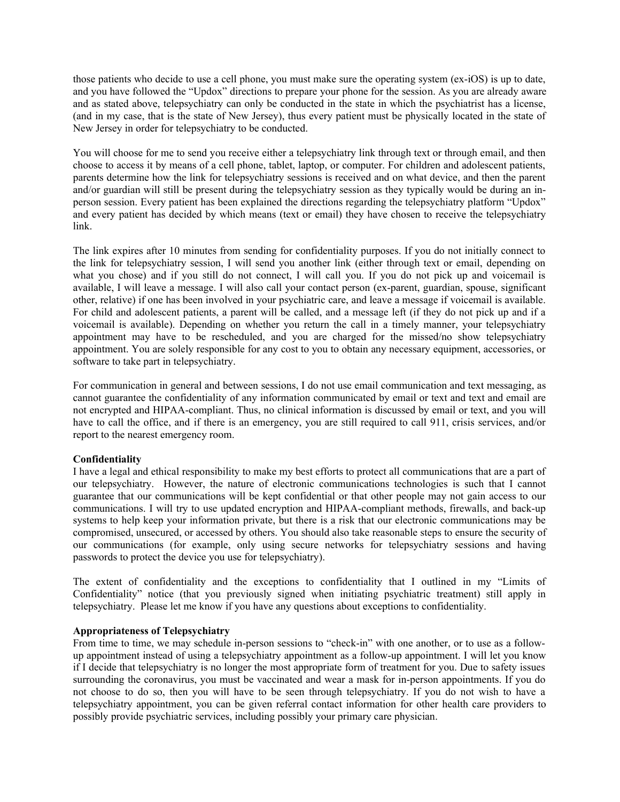those patients who decide to use a cell phone, you must make sure the operating system (ex-iOS) is up to date, and you have followed the "Updox" directions to prepare your phone for the session. As you are already aware and as stated above, telepsychiatry can only be conducted in the state in which the psychiatrist has a license, (and in my case, that is the state of New Jersey), thus every patient must be physically located in the state of New Jersey in order for telepsychiatry to be conducted.

You will choose for me to send you receive either a telepsychiatry link through text or through email, and then choose to access it by means of a cell phone, tablet, laptop, or computer. For children and adolescent patients, parents determine how the link for telepsychiatry sessions is received and on what device, and then the parent and/or guardian will still be present during the telepsychiatry session as they typically would be during an inperson session. Every patient has been explained the directions regarding the telepsychiatry platform "Updox" and every patient has decided by which means (text or email) they have chosen to receive the telepsychiatry link.

The link expires after 10 minutes from sending for confidentiality purposes. If you do not initially connect to the link for telepsychiatry session, I will send you another link (either through text or email, depending on what you chose) and if you still do not connect, I will call you. If you do not pick up and voicemail is available, I will leave a message. I will also call your contact person (ex-parent, guardian, spouse, significant other, relative) if one has been involved in your psychiatric care, and leave a message if voicemail is available. For child and adolescent patients, a parent will be called, and a message left (if they do not pick up and if a voicemail is available). Depending on whether you return the call in a timely manner, your telepsychiatry appointment may have to be rescheduled, and you are charged for the missed/no show telepsychiatry appointment. You are solely responsible for any cost to you to obtain any necessary equipment, accessories, or software to take part in telepsychiatry.

For communication in general and between sessions, I do not use email communication and text messaging, as cannot guarantee the confidentiality of any information communicated by email or text and text and email are not encrypted and HIPAA-compliant. Thus, no clinical information is discussed by email or text, and you will have to call the office, and if there is an emergency, you are still required to call 911, crisis services, and/or report to the nearest emergency room.

# **Confidentiality**

I have a legal and ethical responsibility to make my best efforts to protect all communications that are a part of our telepsychiatry. However, the nature of electronic communications technologies is such that I cannot guarantee that our communications will be kept confidential or that other people may not gain access to our communications. I will try to use updated encryption and HIPAA-compliant methods, firewalls, and back-up systems to help keep your information private, but there is a risk that our electronic communications may be compromised, unsecured, or accessed by others. You should also take reasonable steps to ensure the security of our communications (for example, only using secure networks for telepsychiatry sessions and having passwords to protect the device you use for telepsychiatry).

The extent of confidentiality and the exceptions to confidentiality that I outlined in my "Limits of Confidentiality" notice (that you previously signed when initiating psychiatric treatment) still apply in telepsychiatry. Please let me know if you have any questions about exceptions to confidentiality.

### **Appropriateness of Telepsychiatry**

From time to time, we may schedule in-person sessions to "check-in" with one another, or to use as a followup appointment instead of using a telepsychiatry appointment as a follow-up appointment. I will let you know if I decide that telepsychiatry is no longer the most appropriate form of treatment for you. Due to safety issues surrounding the coronavirus, you must be vaccinated and wear a mask for in-person appointments. If you do not choose to do so, then you will have to be seen through telepsychiatry. If you do not wish to have a telepsychiatry appointment, you can be given referral contact information for other health care providers to possibly provide psychiatric services, including possibly your primary care physician.